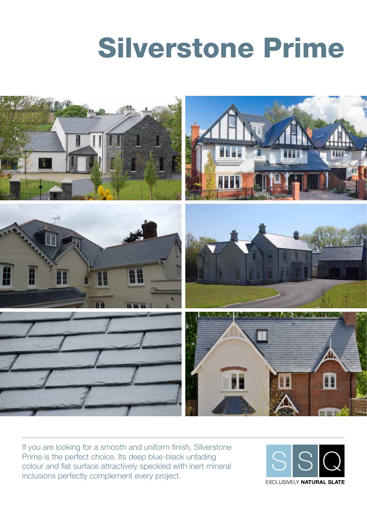# Silverstone Prime



If you are looking for a smooth and uniform finish, Silverstone Prime is the perfect choice. Its deep blue-black unfading colour and flat surface attractively speckled with inert mineral inclusions perfectly complement every project.